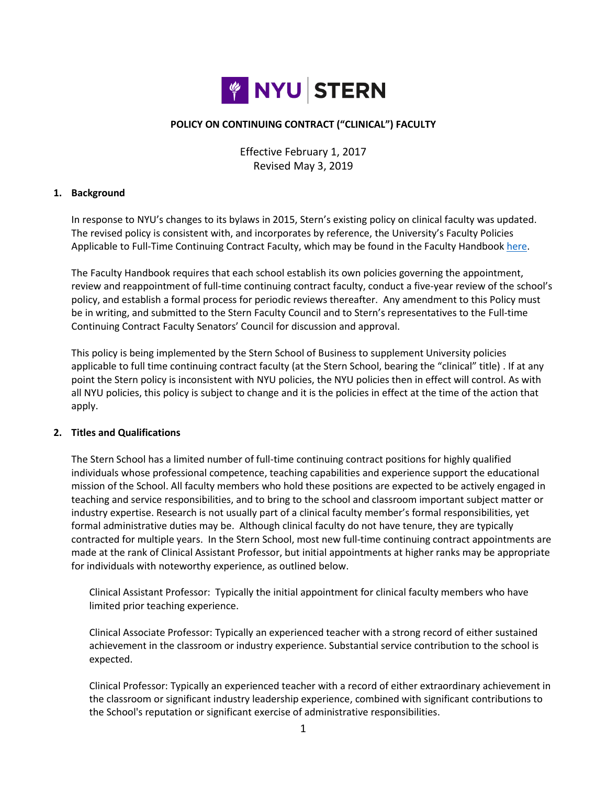

# **POLICY ON CONTINUING CONTRACT ("CLINICAL") FACULTY**

Effective February 1, 2017 Revised May 3, 2019

#### **1. Background**

In response to NYU's changes to its bylaws in 2015, Stern's existing policy on clinical faculty was updated. The revised policy is consistent with, and incorporates by reference, the University's Faculty Policies Applicable to Full-Time Continuing Contract Faculty, which may be found in the Faculty Handbook [here.](http://www.nyu.edu/faculty/governance-policies-and-procedures/faculty-handbook/the-faculty/faculty-policies-applicable-to-full-time-continuing-contract-faculty.html)

The Faculty Handbook requires that each school establish its own policies governing the appointment, review and reappointment of full-time continuing contract faculty, conduct a five-year review of the school's policy, and establish a formal process for periodic reviews thereafter. Any amendment to this Policy must be in writing, and submitted to the Stern Faculty Council and to Stern's representatives to the Full-time Continuing Contract Faculty Senators' Council for discussion and approval.

This policy is being implemented by the Stern School of Business to supplement University policies applicable to full time continuing contract faculty (at the Stern School, bearing the "clinical" title) . If at any point the Stern policy is inconsistent with NYU policies, the NYU policies then in effect will control. As with all NYU policies, this policy is subject to change and it is the policies in effect at the time of the action that apply.

#### **2. Titles and Qualifications**

The Stern School has a limited number of full-time continuing contract positions for highly qualified individuals whose professional competence, teaching capabilities and experience support the educational mission of the School. All faculty members who hold these positions are expected to be actively engaged in teaching and service responsibilities, and to bring to the school and classroom important subject matter or industry expertise. Research is not usually part of a clinical faculty member's formal responsibilities, yet formal administrative duties may be. Although clinical faculty do not have tenure, they are typically contracted for multiple years. In the Stern School, most new full-time continuing contract appointments are made at the rank of Clinical Assistant Professor, but initial appointments at higher ranks may be appropriate for individuals with noteworthy experience, as outlined below.

Clinical Assistant Professor: Typically the initial appointment for clinical faculty members who have limited prior teaching experience.

Clinical Associate Professor: Typically an experienced teacher with a strong record of either sustained achievement in the classroom or industry experience. Substantial service contribution to the school is expected.

Clinical Professor: Typically an experienced teacher with a record of either extraordinary achievement in the classroom or significant industry leadership experience, combined with significant contributions to the School's reputation or significant exercise of administrative responsibilities.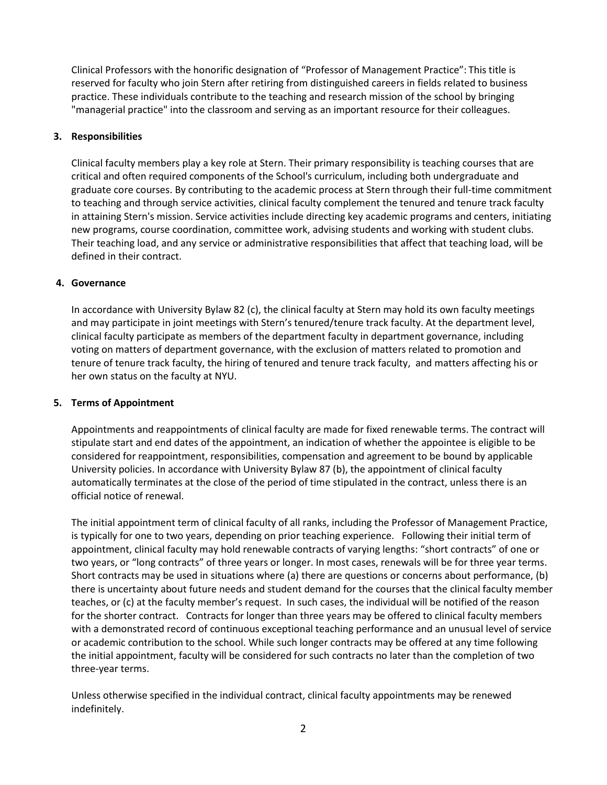Clinical Professors with the honorific designation of "Professor of Management Practice": This title is reserved for faculty who join Stern after retiring from distinguished careers in fields related to business practice. These individuals contribute to the teaching and research mission of the school by bringing "managerial practice" into the classroom and serving as an important resource for their colleagues.

# **3. Responsibilities**

Clinical faculty members play a key role at Stern. Their primary responsibility is teaching courses that are critical and often required components of the School's curriculum, including both undergraduate and graduate core courses. By contributing to the academic process at Stern through their full-time commitment to teaching and through service activities, clinical faculty complement the tenured and tenure track faculty in attaining Stern's mission. Service activities include directing key academic programs and centers, initiating new programs, course coordination, committee work, advising students and working with student clubs. Their teaching load, and any service or administrative responsibilities that affect that teaching load, will be defined in their contract.

# **4. Governance**

In accordance with University Bylaw 82 (c), the clinical faculty at Stern may hold its own faculty meetings and may participate in joint meetings with Stern's tenured/tenure track faculty. At the department level, clinical faculty participate as members of the department faculty in department governance, including voting on matters of department governance, with the exclusion of matters related to promotion and tenure of tenure track faculty, the hiring of tenured and tenure track faculty, and matters affecting his or her own status on the faculty at NYU.

# **5. Terms of Appointment**

Appointments and reappointments of clinical faculty are made for fixed renewable terms. The contract will stipulate start and end dates of the appointment, an indication of whether the appointee is eligible to be considered for reappointment, responsibilities, compensation and agreement to be bound by applicable University policies. In accordance with University Bylaw 87 (b), the appointment of clinical faculty automatically terminates at the close of the period of time stipulated in the contract, unless there is an official notice of renewal.

The initial appointment term of clinical faculty of all ranks, including the Professor of Management Practice, is typically for one to two years, depending on prior teaching experience. Following their initial term of appointment, clinical faculty may hold renewable contracts of varying lengths: "short contracts" of one or two years, or "long contracts" of three years or longer. In most cases, renewals will be for three year terms. Short contracts may be used in situations where (a) there are questions or concerns about performance, (b) there is uncertainty about future needs and student demand for the courses that the clinical faculty member teaches, or (c) at the faculty member's request. In such cases, the individual will be notified of the reason for the shorter contract. Contracts for longer than three years may be offered to clinical faculty members with a demonstrated record of continuous exceptional teaching performance and an unusual level of service or academic contribution to the school. While such longer contracts may be offered at any time following the initial appointment, faculty will be considered for such contracts no later than the completion of two three-year terms.

Unless otherwise specified in the individual contract, clinical faculty appointments may be renewed indefinitely.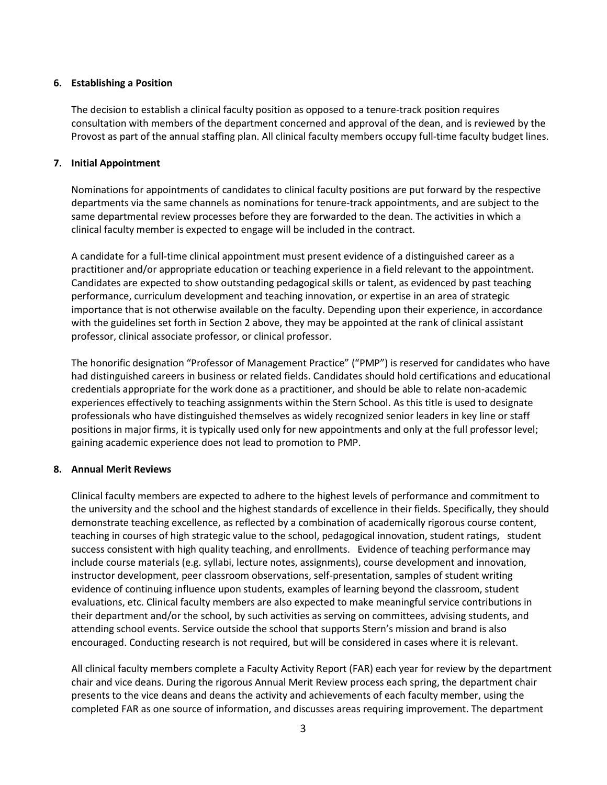### **6. Establishing a Position**

The decision to establish a clinical faculty position as opposed to a tenure-track position requires consultation with members of the department concerned and approval of the dean, and is reviewed by the Provost as part of the annual staffing plan. All clinical faculty members occupy full-time faculty budget lines.

### **7. Initial Appointment**

Nominations for appointments of candidates to clinical faculty positions are put forward by the respective departments via the same channels as nominations for tenure-track appointments, and are subject to the same departmental review processes before they are forwarded to the dean. The activities in which a clinical faculty member is expected to engage will be included in the contract.

A candidate for a full-time clinical appointment must present evidence of a distinguished career as a practitioner and/or appropriate education or teaching experience in a field relevant to the appointment. Candidates are expected to show outstanding pedagogical skills or talent, as evidenced by past teaching performance, curriculum development and teaching innovation, or expertise in an area of strategic importance that is not otherwise available on the faculty. Depending upon their experience, in accordance with the guidelines set forth in Section 2 above, they may be appointed at the rank of clinical assistant professor, clinical associate professor, or clinical professor.

The honorific designation "Professor of Management Practice" ("PMP") is reserved for candidates who have had distinguished careers in business or related fields. Candidates should hold certifications and educational credentials appropriate for the work done as a practitioner, and should be able to relate non-academic experiences effectively to teaching assignments within the Stern School. As this title is used to designate professionals who have distinguished themselves as widely recognized senior leaders in key line or staff positions in major firms, it is typically used only for new appointments and only at the full professor level; gaining academic experience does not lead to promotion to PMP.

# **8. Annual Merit Reviews**

Clinical faculty members are expected to adhere to the highest levels of performance and commitment to the university and the school and the highest standards of excellence in their fields. Specifically, they should demonstrate teaching excellence, as reflected by a combination of academically rigorous course content, teaching in courses of high strategic value to the school, pedagogical innovation, student ratings, student success consistent with high quality teaching, and enrollments. Evidence of teaching performance may include course materials (e.g. syllabi, lecture notes, assignments), course development and innovation, instructor development, peer classroom observations, self-presentation, samples of student writing evidence of continuing influence upon students, examples of learning beyond the classroom, student evaluations, etc. Clinical faculty members are also expected to make meaningful service contributions in their department and/or the school, by such activities as serving on committees, advising students, and attending school events. Service outside the school that supports Stern's mission and brand is also encouraged. Conducting research is not required, but will be considered in cases where it is relevant.

All clinical faculty members complete a Faculty Activity Report (FAR) each year for review by the department chair and vice deans. During the rigorous Annual Merit Review process each spring, the department chair presents to the vice deans and deans the activity and achievements of each faculty member, using the completed FAR as one source of information, and discusses areas requiring improvement. The department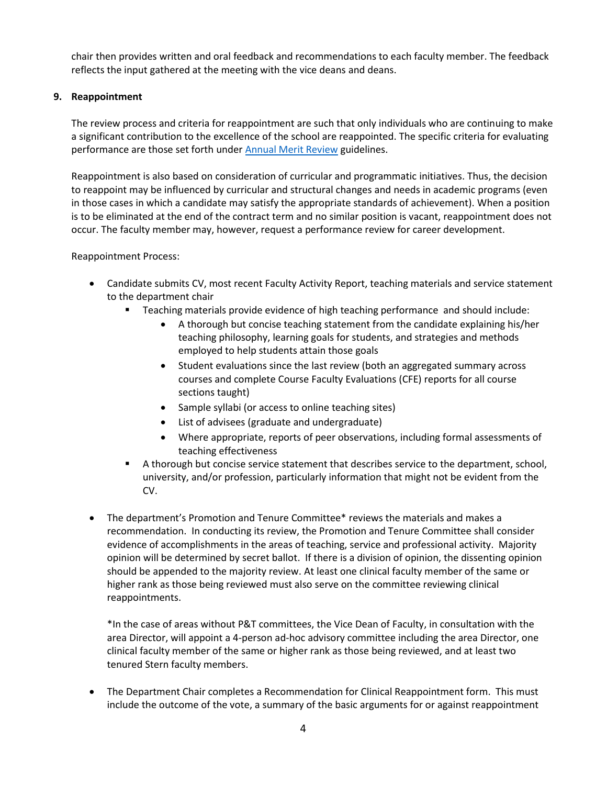chair then provides written and oral feedback and recommendations to each faculty member. The feedback reflects the input gathered at the meeting with the vice deans and deans.

# **9. Reappointment**

The review process and criteria for reappointment are such that only individuals who are continuing to make a significant contribution to the excellence of the school are reappointed. The specific criteria for evaluating performance are those set forth under [Annual Merit Review](http://www.stern.nyu.edu/portal-partners/faculty-guide/appointment-performance-compensation) guidelines.

Reappointment is also based on consideration of curricular and programmatic initiatives. Thus, the decision to reappoint may be influenced by curricular and structural changes and needs in academic programs (even in those cases in which a candidate may satisfy the appropriate standards of achievement). When a position is to be eliminated at the end of the contract term and no similar position is vacant, reappointment does not occur. The faculty member may, however, request a performance review for career development.

# Reappointment Process:

- Candidate submits CV, most recent Faculty Activity Report, teaching materials and service statement to the department chair
	- Teaching materials provide evidence of high teaching performance and should include:
		- A thorough but concise teaching statement from the candidate explaining his/her teaching philosophy, learning goals for students, and strategies and methods employed to help students attain those goals
		- Student evaluations since the last review (both an aggregated summary across courses and complete Course Faculty Evaluations (CFE) reports for all course sections taught)
		- Sample syllabi (or access to online teaching sites)
		- List of advisees (graduate and undergraduate)
		- Where appropriate, reports of peer observations, including formal assessments of teaching effectiveness
	- A thorough but concise service statement that describes service to the department, school, university, and/or profession, particularly information that might not be evident from the CV.
- The department's Promotion and Tenure Committee\* reviews the materials and makes a recommendation. In conducting its review, the Promotion and Tenure Committee shall consider evidence of accomplishments in the areas of teaching, service and professional activity. Majority opinion will be determined by secret ballot. If there is a division of opinion, the dissenting opinion should be appended to the majority review. At least one clinical faculty member of the same or higher rank as those being reviewed must also serve on the committee reviewing clinical reappointments.

\*In the case of areas without P&T committees, the Vice Dean of Faculty, in consultation with the area Director, will appoint a 4-person ad-hoc advisory committee including the area Director, one clinical faculty member of the same or higher rank as those being reviewed, and at least two tenured Stern faculty members.

 The Department Chair completes a Recommendation for Clinical Reappointment form. This must include the outcome of the vote, a summary of the basic arguments for or against reappointment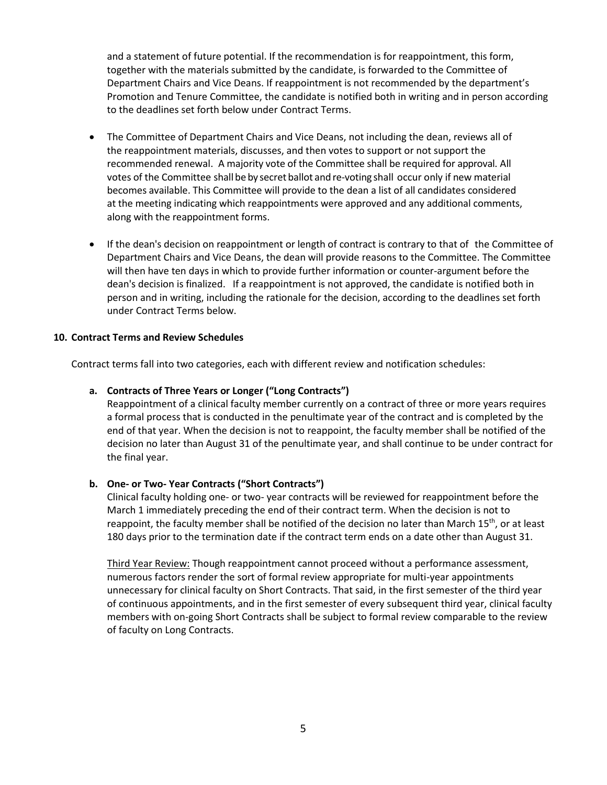and a statement of future potential. If the recommendation is for reappointment, this form, together with the materials submitted by the candidate, is forwarded to the Committee of Department Chairs and Vice Deans. If reappointment is not recommended by the department's Promotion and Tenure Committee, the candidate is notified both in writing and in person according to the deadlines set forth below under Contract Terms.

- The Committee of Department Chairs and Vice Deans, not including the dean, reviews all of the reappointment materials, discusses, and then votes to support or not support the recommended renewal. A majority vote of the Committee shall be required for approval. All votes of the Committee shall be by secret ballot and re-voting shall occur only if new material becomes available. This Committee will provide to the dean a list of all candidates considered at the meeting indicating which reappointments were approved and any additional comments, along with the reappointment forms.
- If the dean's decision on reappointment or length of contract is contrary to that of the Committee of Department Chairs and Vice Deans, the dean will provide reasons to the Committee. The Committee will then have ten days in which to provide further information or counter‐argument before the dean's decision is finalized. If a reappointment is not approved, the candidate is notified both in person and in writing, including the rationale for the decision, according to the deadlines set forth under Contract Terms below.

# **10. Contract Terms and Review Schedules**

Contract terms fall into two categories, each with different review and notification schedules:

### **a. Contracts of Three Years or Longer ("Long Contracts")**

Reappointment of a clinical faculty member currently on a contract of three or more years requires a formal process that is conducted in the penultimate year of the contract and is completed by the end of that year. When the decision is not to reappoint, the faculty member shall be notified of the decision no later than August 31 of the penultimate year, and shall continue to be under contract for the final year.

#### **b. One- or Two- Year Contracts ("Short Contracts")**

Clinical faculty holding one- or two- year contracts will be reviewed for reappointment before the March 1 immediately preceding the end of their contract term. When the decision is not to reappoint, the faculty member shall be notified of the decision no later than March 15<sup>th</sup>, or at least 180 days prior to the termination date if the contract term ends on a date other than August 31.

Third Year Review: Though reappointment cannot proceed without a performance assessment, numerous factors render the sort of formal review appropriate for multi-year appointments unnecessary for clinical faculty on Short Contracts. That said, in the first semester of the third year of continuous appointments, and in the first semester of every subsequent third year, clinical faculty members with on-going Short Contracts shall be subject to formal review comparable to the review of faculty on Long Contracts.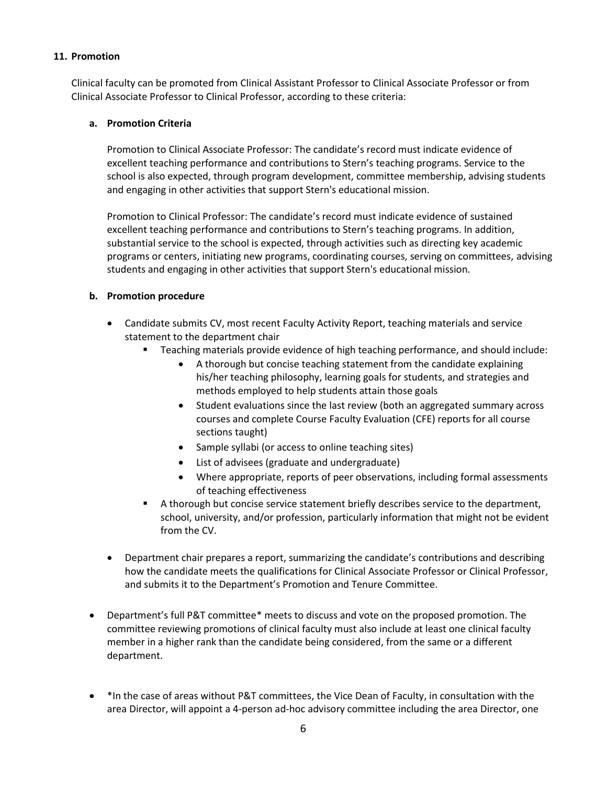# **11. Promotion**

Clinical faculty can be promoted from Clinical Assistant Professor to Clinical Associate Professor or from Clinical Associate Professor to Clinical Professor, according to these criteria:

### **a. Promotion Criteria**

Promotion to Clinical Associate Professor: The candidate's record must indicate evidence of excellent teaching performance and contributions to Stern's teaching programs. Service to the school is also expected, through program development, committee membership, advising students and engaging in other activities that support Stern's educational mission.

Promotion to Clinical Professor: The candidate's record must indicate evidence of sustained excellent teaching performance and contributions to Stern's teaching programs. In addition, substantial service to the school is expected, through activities such as directing key academic programs or centers, initiating new programs, coordinating courses, serving on committees, advising students and engaging in other activities that support Stern's educational mission.

# **b. Promotion procedure**

- Candidate submits CV, most recent Faculty Activity Report, teaching materials and service statement to the department chair
	- Teaching materials provide evidence of high teaching performance, and should include:
		- A thorough but concise teaching statement from the candidate explaining his/her teaching philosophy, learning goals for students, and strategies and methods employed to help students attain those goals
		- Student evaluations since the last review (both an aggregated summary across courses and complete Course Faculty Evaluation (CFE) reports for all course sections taught)
		- Sample syllabi (or access to online teaching sites)
		- List of advisees (graduate and undergraduate)
		- Where appropriate, reports of peer observations, including formal assessments of teaching effectiveness
	- A thorough but concise service statement briefly describes service to the department, school, university, and/or profession, particularly information that might not be evident from the CV.
- Department chair prepares a report, summarizing the candidate's contributions and describing how the candidate meets the qualifications for Clinical Associate Professor or Clinical Professor, and submits it to the Department's Promotion and Tenure Committee.
- Department's full P&T committee\* meets to discuss and vote on the proposed promotion. The committee reviewing promotions of clinical faculty must also include at least one clinical faculty member in a higher rank than the candidate being considered, from the same or a different department.
- \*In the case of areas without P&T committees, the Vice Dean of Faculty, in consultation with the area Director, will appoint a 4-person ad-hoc advisory committee including the area Director, one